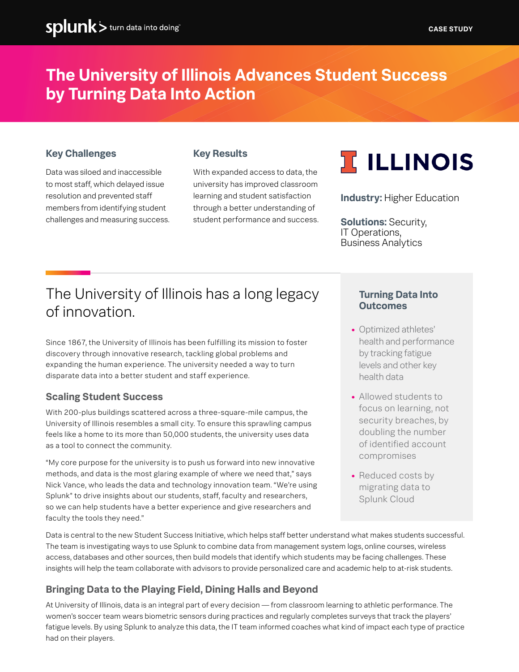# **The University of Illinois Advances Student Success by Turning Data Into Action**

## **Key Challenges**

Data was siloed and inaccessible to most staff, which delayed issue resolution and prevented staff members from identifying student challenges and measuring success.

## **Key Results**

With expanded access to data, the university has improved classroom learning and student satisfaction through a better understanding of student performance and success.



**Industry:** Higher Education

**Solutions:** Security, IT Operations, Business Analytics

# The University of Illinois has a long legacy of innovation.

Since 1867, the University of Illinois has been fulfilling its mission to foster discovery through innovative research, tackling global problems and expanding the human experience. The university needed a way to turn disparate data into a better student and staff experience.

# **Scaling Student Success**

With 200-plus buildings scattered across a three-square-mile campus, the University of Illinois resembles a small city. To ensure this sprawling campus feels like a home to its more than 50,000 students, the university uses data as a tool to connect the community.

"My core purpose for the university is to push us forward into new innovative methods, and data is the most glaring example of where we need that," says Nick Vance, who leads the data and technology innovation team. "We're using Splunk® to drive insights about our students, staff, faculty and researchers, so we can help students have a better experience and give researchers and faculty the tools they need."

#### **Turning Data Into Outcomes**

- **•** Optimized athletes' health and performance by tracking fatigue levels and other key health data
- **•** Allowed students to focus on learning, not security breaches, by doubling the number of identified account compromises
- **•** Reduced costs by migrating data to Splunk Cloud

Data is central to the new Student Success Initiative, which helps staff better understand what makes students successful. The team is investigating ways to use Splunk to combine data from management system logs, online courses, wireless access, databases and other sources, then build models that identify which students may be facing challenges. These insights will help the team collaborate with advisors to provide personalized care and academic help to at-risk students.

# **Bringing Data to the Playing Field, Dining Halls and Beyond**

At University of Illinois, data is an integral part of every decision — from classroom learning to athletic performance. The women's soccer team wears biometric sensors during practices and regularly completes surveys that track the players' fatigue levels. By using Splunk to analyze this data, the IT team informed coaches what kind of impact each type of practice had on their players.